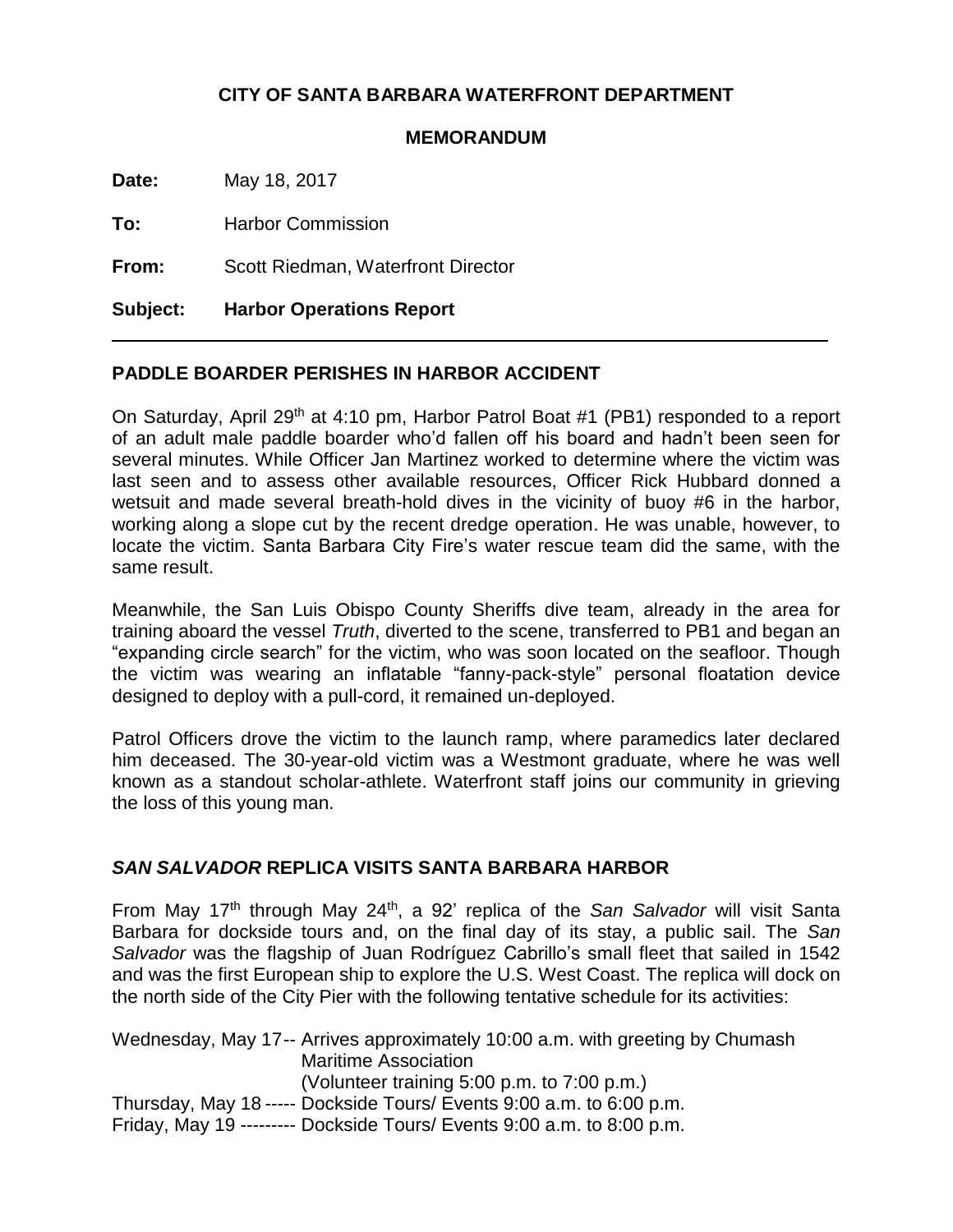# **CITY OF SANTA BARBARA WATERFRONT DEPARTMENT**

### **MEMORANDUM**

**Date:** May 18, 2017

**To:** Harbor Commission

**From:** Scott Riedman, Waterfront Director

**Subject: Harbor Operations Report**

# **PADDLE BOARDER PERISHES IN HARBOR ACCIDENT**

On Saturday, April 29<sup>th</sup> at 4:10 pm, Harbor Patrol Boat #1 (PB1) responded to a report of an adult male paddle boarder who'd fallen off his board and hadn't been seen for several minutes. While Officer Jan Martinez worked to determine where the victim was last seen and to assess other available resources, Officer Rick Hubbard donned a wetsuit and made several breath-hold dives in the vicinity of buoy #6 in the harbor, working along a slope cut by the recent dredge operation. He was unable, however, to locate the victim. Santa Barbara City Fire's water rescue team did the same, with the same result.

Meanwhile, the San Luis Obispo County Sheriffs dive team, already in the area for training aboard the vessel *Truth*, diverted to the scene, transferred to PB1 and began an "expanding circle search" for the victim, who was soon located on the seafloor. Though the victim was wearing an inflatable "fanny-pack-style" personal floatation device designed to deploy with a pull-cord, it remained un-deployed.

Patrol Officers drove the victim to the launch ramp, where paramedics later declared him deceased. The 30-year-old victim was a Westmont graduate, where he was well known as a standout scholar-athlete. Waterfront staff joins our community in grieving the loss of this young man.

### *SAN SALVADOR* **REPLICA VISITS SANTA BARBARA HARBOR**

From May 17<sup>th</sup> through May 24<sup>th</sup>, a 92' replica of the San Salvador will visit Santa Barbara for dockside tours and, on the final day of its stay, a public sail. The *San Salvador* was the flagship of Juan Rodríguez Cabrillo's small fleet that sailed in 1542 and was the first European ship to explore the U.S. West Coast. The replica will dock on the north side of the City Pier with the following tentative schedule for its activities:

Wednesday, May 17-- Arrives approximately 10:00 a.m. with greeting by Chumash Maritime Association (Volunteer training 5:00 p.m. to 7:00 p.m.) Thursday, May 18 ----- Dockside Tours/ Events 9:00 a.m. to 6:00 p.m. Friday, May 19 --------- Dockside Tours/ Events 9:00 a.m. to 8:00 p.m.